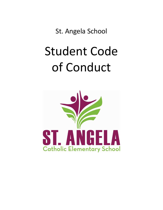St. Angela School

# Student Code of Conduct

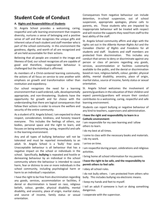### **Student Code of Conduct**

#### **A. Rights and Responsibilities of Students**

St. Angela School provides a welcoming, caring, respectful and safe learning environment that respects diversity, nurtures a sense of belonging and a positive sense of self and that recognizes the unique gifts and inherent value of each student and staff member who is part of the school community. In this environment the goodness, dignity, and worth of all are recognized and all are held accountable for their actions.

Believing that all people are created in the image and likeness of God, our school recognizes all are capable of good and therefore, inappropriate behaviour is challenged but the individual is affirmed.

As members of a Christ-centered learning community, the actions of all focus on service to one another with emphasis on growth and transformation rather than restitution and expediency.

Our school recognizes the need for a learning environment that is well ordered, safe, developmentally appropriate, and non-threatening. Students have the opportunity for growth and for choice with the understanding that there are logical consequences that follow their actions in order to ensure the welfare and security of the entire community.

As a student of St. Angela School, I am expected to show respect, consideration, kindness, and honesty toward everyone. This includes the feelings of others, our bodies, personal space and the right to learn, and focuses on being welcoming, caring, respectful and safe in the learning environment.

Any and all types of bullying behaviour will not be tolerated and must be reported immediately to an adult. St. Angela School is a 'bully' free zone. Unacceptable behaviour is all behaviour that has a negative impact on the school or individuals in the school. Specifically, **bullying** is repeated and hostile or demeaning behaviour by an individual in the school community where the behaviour is intended to cause harm, fear or distress to one or more individuals in the school community, including psychological harm or harm to an individual's reputation.

I have the right to be free from discrimination regarding any goods, services, accommodation or facilities, if denial or discrimination is based on race, religious beliefs, colour, gender, physical disability, mental disability, and ancestry, place of origin, marital status, and source of income, family status or sexual orientation.

Consequences from negative behaviour can include detention, in-school suspension, out of school suspension, appropriate apologies, phone calls to parents, etc. Those students who are impacted by inappropriate behaviour will be treated with respect and will receive the supports they need from staff to the best ability of the staff.

St. Angela School community affirm and align with the rights set out in the *Alberta Human Rights Act* and the *Canadian Charter of Rights and Freedoms* for all students and staff. Students and staff members are protected from discrimination. This includes any conduct that serves to deny or discriminate against any person or class of persons regarding any goods, services, accommodation or facilities customarily available to the public, and the denial or discrimination based on race, religious beliefs, colour, gender, physical ability, mental disability, ancestry, place of origin, marital status, source of income, family status or sexual orientation.

St. Angela School welcomes the involvement of parents/guardians in the education of their children and expect parents/guardians will ensure their conduct contributes to a welcoming, caring, respectful and safe learning environment.

Students can report bullying or negative behaviour of any kind to teachers, supervisors and administration.

#### **I have the right and responsibility to learn in a Catholic environment:**

I am responsible for my own learning and I allow others to learn.

I do my best at all times.

I come to class with the necessary books and materials. I do my work.

I arrive on time.

I am respectful during prayer, celebrations and religious activities.

I bring home all school information for my parents.

#### **I have the right to be safe, and the responsibility to permit others to feel safe:**

I obey all school rules.

I do not bully others. I am protected from others who bully. This includes bullying via electronic means.

I keep my hands and feet to myself.

I tell an adult if someone is hurt or doing something dangerous.

I cooperate with the supervisor.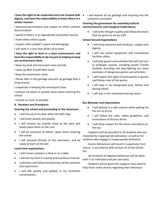#### **I have the right to be respected and to be treated with**  • I will deposit all my garbage and recycling into the **dignity, and have the responsibility to treat others in a similar manner:**

I demonstrate kindness and respect to others without events/concerts and Liturgical Celebrations. discrimination.

I speak to others in an appropriate and polite manner.

- I listen when others speak.
- I respect other people's space and belongings.

I will work in a way that allows all to learn.

#### **I have the right to learn in a clean environment, and have the responsibility to do my part in helping to keep our environment clean:**

I keep my desk and classroom neat and tidy.

I clean up after myself after lunch.

I keep the washrooms clean.

I throw litter in the garbage and pick up garbage that is lying around.

I cooperate in keeping the schoolyard clean.

I remove my boots or outside shoes when entering the school.

I recycle as much as possible.

#### **B. Routines and Procedures**

#### **Entering the school and proceeding to the classroom.**

- I will line up at my door when the bell rings.
- I will enter quietly and quickly.
- I will remove my outside shoes at the door and neatly place them on the rack.
- I will be conscious of others' space when entering the school.
- I will proceed directly to the classroom, and be ready to learn at the bell

#### **Lunch time expectations**

- I will remain seated in a desk or at a table.
- I will eat my lunch in a polite and courteous manner.
- I will listen and follow the directions of the monitors and supervisors.
- I will talk quietly and politely in my lunchtime conversations.

containers provided.

## **Entering the gymnasium for assembly/cultural**

• I will enter the gym quietly and follow directions that are given to me by staff.

#### **School Ground Expectations**

- I will treat everyone with kindness, respect and dignity.
- I will use school equipment and recreational facilities safely.
- I will play games and activities that will not hurt or endanger anyone, including myself. (Tackle football, wrestling and play-fighting are some examples of dangerous games and activities.)
- I will respect the rights of participants in games and follow rules of the games.
- I will play in my designated area, before and during school.
- I will stay in the schoolyard during recess.

#### **Bus Behavior and Expectations**

- I will behave in a safe manner while waiting for the bus to arrive.
- I will follow the rules, safety guidelines, and instructions of the bus driver.
- I will show respect for the driver and others on the bus

-Supports will be provided to all students who are impacted by inappropriate behaviour, as well as for students who engage in inappropriate behaviour.

-Severe behaviours will result in suspension from school. In accordance with section 24 of the School Act.

-All incidents of negative behaviour will be dealt with in an individual and per case basis.

-Students will be given the supports they need to help them make choices regarding their behaviour